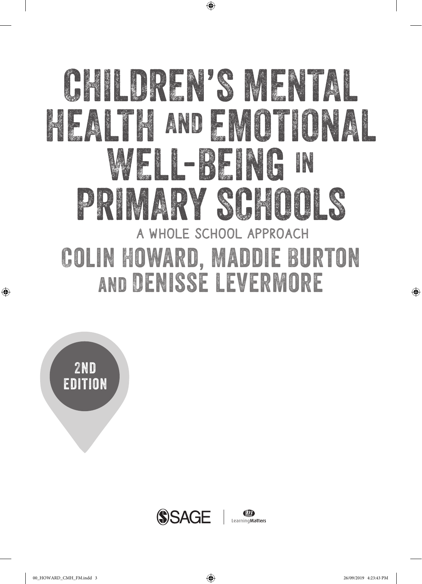# HEALTH AND EMOTIONAL WELL-BEING IN CHILDREN'S MENTAL PRIMARY SCHOOLS Colin Howard, Maddie Burton and Denisse Levermore A whole school approach

 $\bigoplus$ 



⊕



 $\mathbb{Z}$ LearningMatters ◈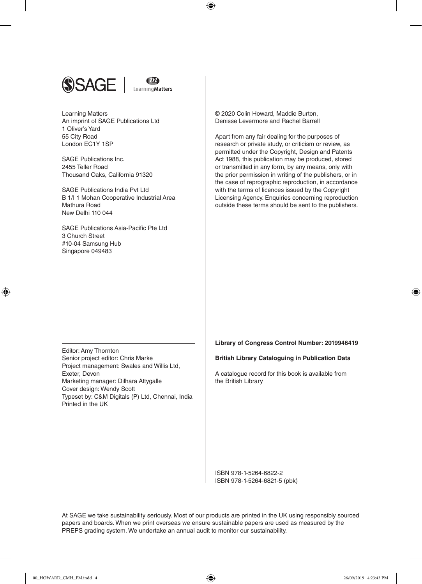



 $\bm \Theta$ 

Learning Matters An imprint of SAGE Publications Ltd 1 Oliver's Yard 55 City Road London EC1Y 1SP

SAGE Publications Inc. 2455 Teller Road Thousand Oaks, California 91320

SAGE Publications India Pvt Ltd B 1/I 1 Mohan Cooperative Industrial Area Mathura Road New Delhi 110 044

SAGE Publications Asia-Pacific Pte Ltd 3 Church Street #10-04 Samsung Hub Singapore 049483

© 2020 Colin Howard, Maddie Burton, Denisse Levermore and Rachel Barrell

Apart from any fair dealing for the purposes of research or private study, or criticism or review, as permitted under the Copyright, Design and Patents Act 1988, this publication may be produced, stored or transmitted in any form, by any means, only with the prior permission in writing of the publishers, or in the case of reprographic reproduction, in accordance with the terms of licences issued by the Copyright Licensing Agency. Enquiries concerning reproduction outside these terms should be sent to the publishers.

Editor: Amy Thornton Senior project editor: Chris Marke Project management: Swales and Willis Ltd, Exeter, Devon Marketing manager: Dilhara Attygalle Cover design: Wendy Scott Typeset by: C&M Digitals (P) Ltd, Chennai, India Printed in the UK

**Library of Congress Control Number: 2019946419**

#### **British Library Cataloguing in Publication Data**

A catalogue record for this book is available from the British Library

ISBN 978-1-5264-6822-2 ISBN 978-1-5264-6821-5 (pbk)

At SAGE we take sustainability seriously. Most of our products are printed in the UK using responsibly sourced papers and boards. When we print overseas we ensure sustainable papers are used as measured by the PREPS grading system. We undertake an annual audit to monitor our sustainability.

⊕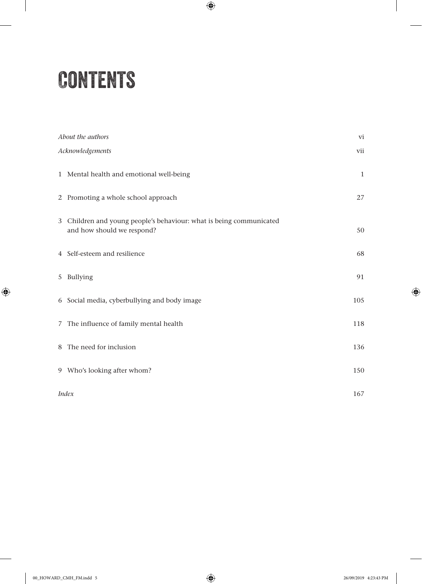## **CONTENTS**

| About the authors |                                                                                                   | vi           |
|-------------------|---------------------------------------------------------------------------------------------------|--------------|
| Acknowledgements  |                                                                                                   |              |
|                   | 1 Mental health and emotional well-being                                                          | $\mathbf{1}$ |
|                   | 2 Promoting a whole school approach                                                               | 27           |
|                   | 3 Children and young people's behaviour: what is being communicated<br>and how should we respond? | 50           |
|                   | 4 Self-esteem and resilience                                                                      | 68           |
|                   | 5 Bullying                                                                                        | 91           |
|                   | 6 Social media, cyberbullying and body image                                                      | 105          |
|                   | 7 The influence of family mental health                                                           | 118          |
|                   | 8 The need for inclusion                                                                          | 136          |
|                   | 9 Who's looking after whom?                                                                       | 150          |
| <b>Index</b>      |                                                                                                   |              |

 $\bigoplus$ 

 $\bigoplus$ 

 $\bigoplus$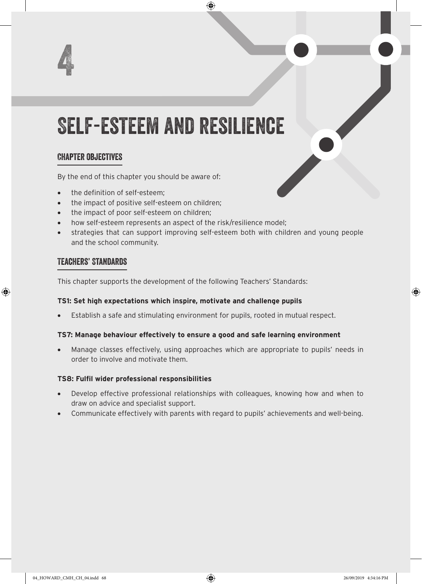

#### Chapter objectives

By the end of this chapter you should be aware of:

- the definition of self-esteem;
- the impact of positive self-esteem on children;
- the impact of poor self-esteem on children;
- how self-esteem represents an aspect of the risk/resilience model;
- strategies that can support improving self-esteem both with children and young people and the school community.

⊕

#### Teachers' Standards

⊕

This chapter supports the development of the following Teachers' Standards:

#### **TS1: Set high expectations which inspire, motivate and challenge pupils**

• Establish a safe and stimulating environment for pupils, rooted in mutual respect.

#### **TS7: Manage behaviour effectively to ensure a good and safe learning environment**

• Manage classes effectively, using approaches which are appropriate to pupils' needs in order to involve and motivate them.

#### **TS8: Fulfil wider professional responsibilities**

- Develop effective professional relationships with colleagues, knowing how and when to draw on advice and specialist support.
- Communicate effectively with parents with regard to pupils' achievements and well-being.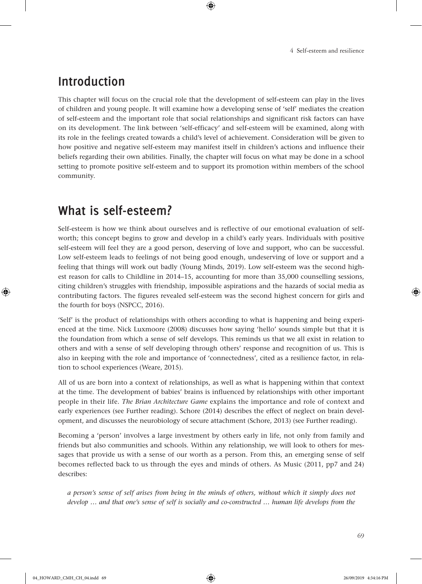### **Introduction**

This chapter will focus on the crucial role that the development of self-esteem can play in the lives of children and young people. It will examine how a developing sense of 'self' mediates the creation of self-esteem and the important role that social relationships and significant risk factors can have on its development. The link between 'self-efficacy' and self-esteem will be examined, along with its role in the feelings created towards a child's level of achievement. Consideration will be given to how positive and negative self-esteem may manifest itself in children's actions and influence their beliefs regarding their own abilities. Finally, the chapter will focus on what may be done in a school setting to promote positive self-esteem and to support its promotion within members of the school community.

 $\circledast$ 

## **What is self-esteem?**

Self-esteem is how we think about ourselves and is reflective of our emotional evaluation of selfworth; this concept begins to grow and develop in a child's early years. Individuals with positive self-esteem will feel they are a good person, deserving of love and support, who can be successful. Low self-esteem leads to feelings of not being good enough, undeserving of love or support and a feeling that things will work out badly (Young Minds, 2019). Low self-esteem was the second highest reason for calls to Childline in 2014–15, accounting for more than 35,000 counselling sessions, citing children's struggles with friendship, impossible aspirations and the hazards of social media as contributing factors. The figures revealed self-esteem was the second highest concern for girls and the fourth for boys (NSPCC, 2016).

'Self' is the product of relationships with others according to what is happening and being experienced at the time. Nick Luxmoore (2008) discusses how saying 'hello' sounds simple but that it is the foundation from which a sense of self develops. This reminds us that we all exist in relation to others and with a sense of self developing through others' response and recognition of us. This is also in keeping with the role and importance of 'connectedness', cited as a resilience factor, in relation to school experiences (Weare, 2015).

All of us are born into a context of relationships, as well as what is happening within that context at the time. The development of babies' brains is influenced by relationships with other important people in their life. *The Brian Architecture Game* explains the importance and role of context and early experiences (see Further reading). Schore (2014) describes the effect of neglect on brain development, and discusses the neurobiology of secure attachment (Schore, 2013) (see Further reading).

Becoming a 'person' involves a large investment by others early in life, not only from family and friends but also communities and schools. Within any relationship, we will look to others for messages that provide us with a sense of our worth as a person. From this, an emerging sense of self becomes reflected back to us through the eyes and minds of others. As Music (2011, pp7 and 24) describes:

*a person's sense of self arises from being in the minds of others, without which it simply does not develop … and that one's sense of self is socially and co-constructed … human life develops from the* 

⊕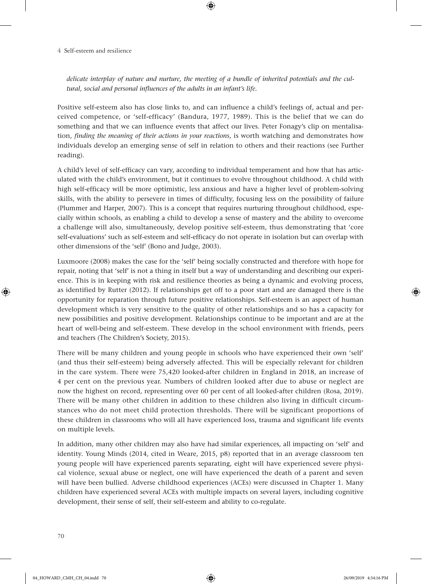*delicate interplay of nature and nurture, the meeting of a bundle of inherited potentials and the cultural, social and personal influences of the adults in an infant's life.*

⊕

Positive self-esteem also has close links to, and can influence a child's feelings of, actual and perceived competence, or 'self-efficacy' (Bandura, 1977, 1989). This is the belief that we can do something and that we can influence events that affect our lives. Peter Fonagy's clip on mentalisation, *finding the meaning of their actions in your reactions,* is worth watching and demonstrates how individuals develop an emerging sense of self in relation to others and their reactions (see Further reading).

A child's level of self-efficacy can vary, according to individual temperament and how that has articulated with the child's environment, but it continues to evolve throughout childhood. A child with high self-efficacy will be more optimistic, less anxious and have a higher level of problem-solving skills, with the ability to persevere in times of difficulty, focusing less on the possibility of failure (Plummer and Harper, 2007). This is a concept that requires nurturing throughout childhood, especially within schools, as enabling a child to develop a sense of mastery and the ability to overcome a challenge will also, simultaneously, develop positive self-esteem, thus demonstrating that 'core self-evaluations' such as self-esteem and self-efficacy do not operate in isolation but can overlap with other dimensions of the 'self' (Bono and Judge, 2003).

Luxmoore (2008) makes the case for the 'self' being socially constructed and therefore with hope for repair, noting that 'self' is not a thing in itself but a way of understanding and describing our experience. This is in keeping with risk and resilience theories as being a dynamic and evolving process, as identified by Rutter (2012). If relationships get off to a poor start and are damaged there is the opportunity for reparation through future positive relationships. Self-esteem is an aspect of human development which is very sensitive to the quality of other relationships and so has a capacity for new possibilities and positive development. Relationships continue to be important and are at the heart of well-being and self-esteem. These develop in the school environment with friends, peers and teachers (The Children's Society, 2015).

There will be many children and young people in schools who have experienced their own 'self' (and thus their self-esteem) being adversely affected. This will be especially relevant for children in the care system. There were 75,420 looked-after children in England in 2018, an increase of 4 per cent on the previous year. Numbers of children looked after due to abuse or neglect are now the highest on record, representing over 60 per cent of all looked-after children (Rosa, 2019). There will be many other children in addition to these children also living in difficult circumstances who do not meet child protection thresholds. There will be significant proportions of these children in classrooms who will all have experienced loss, trauma and significant life events on multiple levels.

In addition, many other children may also have had similar experiences, all impacting on 'self' and identity. Young Minds (2014, cited in Weare, 2015, p8) reported that in an average classroom ten young people will have experienced parents separating, eight will have experienced severe physical violence, sexual abuse or neglect, one will have experienced the death of a parent and seven will have been bullied. Adverse childhood experiences (ACEs) were discussed in Chapter 1. Many children have experienced several ACEs with multiple impacts on several layers, including cognitive development, their sense of self, their self-esteem and ability to co-regulate.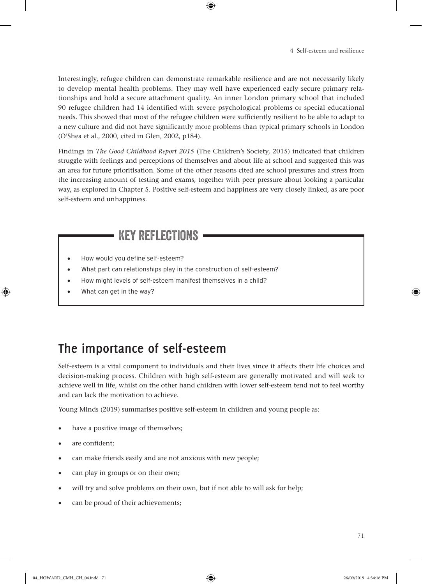Interestingly, refugee children can demonstrate remarkable resilience and are not necessarily likely to develop mental health problems. They may well have experienced early secure primary relationships and hold a secure attachment quality. An inner London primary school that included 90 refugee children had 14 identified with severe psychological problems or special educational needs. This showed that most of the refugee children were sufficiently resilient to be able to adapt to a new culture and did not have significantly more problems than typical primary schools in London (O'Shea et al., 2000, cited in Glen, 2002, p184).

⊕

Findings in *The Good Childhood Report 2015* (The Children's Society, 2015) indicated that children struggle with feelings and perceptions of themselves and about life at school and suggested this was an area for future prioritisation. Some of the other reasons cited are school pressures and stress from the increasing amount of testing and exams, together with peer pressure about looking a particular way, as explored in Chapter 5. Positive self-esteem and happiness are very closely linked, as are poor self-esteem and unhappiness.

#### Key reflections

- How would you define self-esteem?
- What part can relationships play in the construction of self-esteem?
- How might levels of self-esteem manifest themselves in a child?
- What can get in the way?

⊕

## **The importance of self-esteem**

Self-esteem is a vital component to individuals and their lives since it affects their life choices and decision-making process. Children with high self-esteem are generally motivated and will seek to achieve well in life, whilst on the other hand children with lower self-esteem tend not to feel worthy and can lack the motivation to achieve.

Young Minds (2019) summarises positive self-esteem in children and young people as:

- have a positive image of themselves;
- are confident;
- can make friends easily and are not anxious with new people;
- can play in groups or on their own;
- will try and solve problems on their own, but if not able to will ask for help;
- can be proud of their achievements;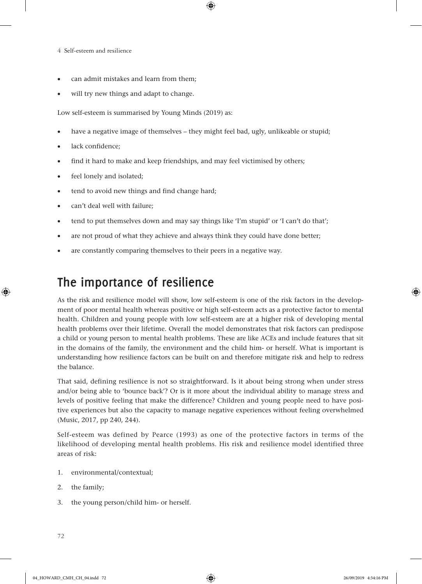- can admit mistakes and learn from them;
- will try new things and adapt to change.

Low self-esteem is summarised by Young Minds (2019) as:

have a negative image of themselves – they might feel bad, ugly, unlikeable or stupid;

 $\circledast$ 

- lack confidence:
- find it hard to make and keep friendships, and may feel victimised by others;
- feel lonely and isolated;
- tend to avoid new things and find change hard;
- can't deal well with failure;
- tend to put themselves down and may say things like 'I'm stupid' or 'I can't do that';
- are not proud of what they achieve and always think they could have done better;
- are constantly comparing themselves to their peers in a negative way.

## **The importance of resilience**

As the risk and resilience model will show, low self-esteem is one of the risk factors in the development of poor mental health whereas positive or high self-esteem acts as a protective factor to mental health. Children and young people with low self-esteem are at a higher risk of developing mental health problems over their lifetime. Overall the model demonstrates that risk factors can predispose a child or young person to mental health problems. These are like ACEs and include features that sit in the domains of the family, the environment and the child him- or herself. What is important is understanding how resilience factors can be built on and therefore mitigate risk and help to redress the balance.

That said, defining resilience is not so straightforward. Is it about being strong when under stress and/or being able to 'bounce back'? Or is it more about the individual ability to manage stress and levels of positive feeling that make the difference? Children and young people need to have positive experiences but also the capacity to manage negative experiences without feeling overwhelmed (Music, 2017, pp 240, 244).

Self-esteem was defined by Pearce (1993) as one of the protective factors in terms of the likelihood of developing mental health problems. His risk and resilience model identified three areas of risk:

- 1. environmental/contextual;
- 2. the family;
- 3. the young person/child him- or herself.

⊕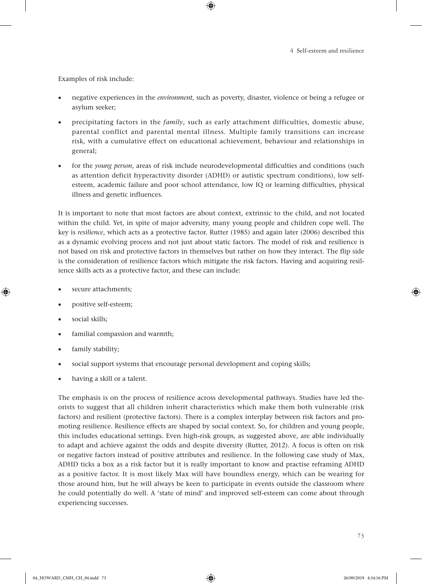Examples of risk include:

• negative experiences in the *environment*, such as poverty, disaster, violence or being a refugee or asylum seeker;

 $\bigcirc$ 

- precipitating factors in the *family*, such as early attachment difficulties, domestic abuse, parental conflict and parental mental illness. Multiple family transitions can increase risk, with a cumulative effect on educational achievement, behaviour and relationships in general;
- for the *young person*, areas of risk include neurodevelopmental difficulties and conditions (such as attention deficit hyperactivity disorder (ADHD) or autistic spectrum conditions), low selfesteem, academic failure and poor school attendance, low IQ or learning difficulties, physical illness and genetic influences.

It is important to note that most factors are about context, extrinsic to the child, and not located within the child. Yet, in spite of major adversity, many young people and children cope well. The key is *resilience*, which acts as a protective factor. Rutter (1985) and again later (2006) described this as a dynamic evolving process and not just about static factors. The model of risk and resilience is not based on risk and protective factors in themselves but rather on how they interact. The flip side is the consideration of resilience factors which mitigate the risk factors. Having and acquiring resilience skills acts as a protective factor, and these can include:

- secure attachments;
- positive self-esteem;
- social skills;

⊕

- familial compassion and warmth;
- family stability;
- social support systems that encourage personal development and coping skills;
- having a skill or a talent.

The emphasis is on the process of resilience across developmental pathways. Studies have led theorists to suggest that all children inherit characteristics which make them both vulnerable (risk factors) and resilient (protective factors). There is a complex interplay between risk factors and promoting resilience. Resilience effects are shaped by social context. So, for children and young people, this includes educational settings. Even high-risk groups, as suggested above, are able individually to adapt and achieve against the odds and despite diversity (Rutter, 2012). A focus is often on risk or negative factors instead of positive attributes and resilience. In the following case study of Max, ADHD ticks a box as a risk factor but it is really important to know and practise reframing ADHD as a positive factor. It is most likely Max will have boundless energy, which can be wearing for those around him, but he will always be keen to participate in events outside the classroom where he could potentially do well. A 'state of mind' and improved self-esteem can come about through experiencing successes.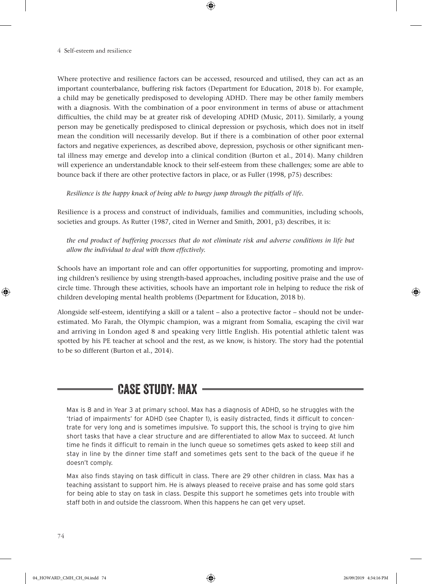Where protective and resilience factors can be accessed, resourced and utilised, they can act as an important counterbalance, buffering risk factors (Department for Education, 2018 b). For example, a child may be genetically predisposed to developing ADHD. There may be other family members with a diagnosis. With the combination of a poor environment in terms of abuse or attachment difficulties, the child may be at greater risk of developing ADHD (Music, 2011). Similarly, a young person may be genetically predisposed to clinical depression or psychosis, which does not in itself mean the condition will necessarily develop. But if there is a combination of other poor external factors and negative experiences, as described above, depression, psychosis or other significant mental illness may emerge and develop into a clinical condition (Burton et al., 2014). Many children will experience an understandable knock to their self-esteem from these challenges; some are able to bounce back if there are other protective factors in place, or as Fuller (1998, p75) describes:

⊕

*Resilience is the happy knack of being able to bungy jump through the pitfalls of life.*

Resilience is a process and construct of individuals, families and communities, including schools, societies and groups. As Rutter (1987, cited in Werner and Smith, 2001, p3) describes, it is:

*the end product of buffering processes that do not eliminate risk and adverse conditions in life but allow the individual to deal with them effectively.*

Schools have an important role and can offer opportunities for supporting, promoting and improving children's resilience by using strength-based approaches, including positive praise and the use of circle time. Through these activities, schools have an important role in helping to reduce the risk of children developing mental health problems (Department for Education, 2018 b).

Alongside self-esteem, identifying a skill or a talent – also a protective factor – should not be underestimated. Mo Farah, the Olympic champion, was a migrant from Somalia, escaping the civil war and arriving in London aged 8 and speaking very little English. His potential athletic talent was spotted by his PE teacher at school and the rest, as we know, is history. The story had the potential to be so different (Burton et al., 2014).

#### Case study: Max

Max is 8 and in Year 3 at primary school. Max has a diagnosis of ADHD, so he struggles with the 'triad of impairments' for ADHD (see Chapter 1), is easily distracted, finds it difficult to concentrate for very long and is sometimes impulsive. To support this, the school is trying to give him short tasks that have a clear structure and are differentiated to allow Max to succeed. At lunch time he finds it difficult to remain in the lunch queue so sometimes gets asked to keep still and stay in line by the dinner time staff and sometimes gets sent to the back of the queue if he doesn't comply.

Max also finds staying on task difficult in class. There are 29 other children in class. Max has a teaching assistant to support him. He is always pleased to receive praise and has some gold stars for being able to stay on task in class. Despite this support he sometimes gets into trouble with staff both in and outside the classroom. When this happens he can get very upset.

⊕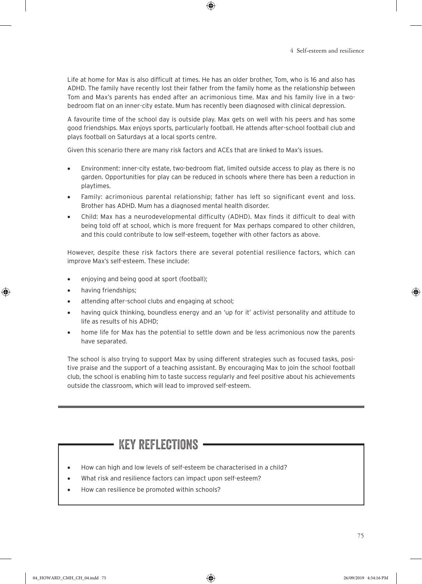Life at home for Max is also difficult at times. He has an older brother, Tom, who is 16 and also has ADHD. The family have recently lost their father from the family home as the relationship between Tom and Max's parents has ended after an acrimonious time. Max and his family live in a twobedroom flat on an inner-city estate. Mum has recently been diagnosed with clinical depression.

⊕

A favourite time of the school day is outside play. Max gets on well with his peers and has some good friendships. Max enjoys sports, particularly football. He attends after-school football club and plays football on Saturdays at a local sports centre.

Given this scenario there are many risk factors and ACEs that are linked to Max's issues.

- Environment: inner-city estate, two-bedroom flat, limited outside access to play as there is no garden. Opportunities for play can be reduced in schools where there has been a reduction in playtimes.
- Family: acrimonious parental relationship; father has left so significant event and loss. Brother has ADHD. Mum has a diagnosed mental health disorder.
- Child: Max has a neurodevelopmental difficulty (ADHD). Max finds it difficult to deal with being told off at school, which is more frequent for Max perhaps compared to other children, and this could contribute to low self-esteem, together with other factors as above.

However, despite these risk factors there are several potential resilience factors, which can improve Max's self-esteem. These include:

- enjoying and being good at sport (football);
- having friendships;

⊕

- attending after-school clubs and engaging at school;
- having quick thinking, boundless energy and an 'up for it' activist personality and attitude to life as results of his ADHD;
- home life for Max has the potential to settle down and be less acrimonious now the parents have separated.

The school is also trying to support Max by using different strategies such as focused tasks, positive praise and the support of a teaching assistant. By encouraging Max to join the school football club, the school is enabling him to taste success regularly and feel positive about his achievements outside the classroom, which will lead to improved self-esteem.

#### KEY REFLECTIONS

- How can high and low levels of self-esteem be characterised in a child?
- What risk and resilience factors can impact upon self-esteem?
- How can resilience be promoted within schools?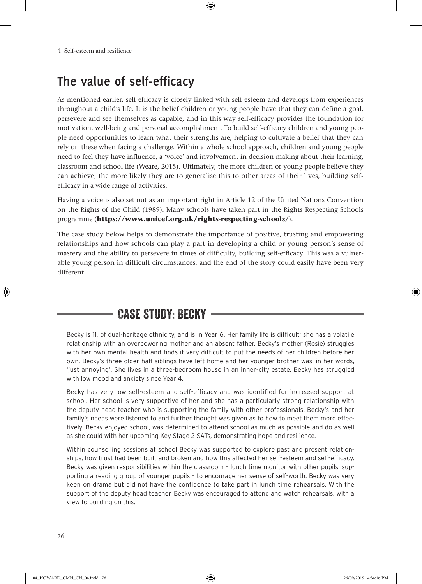## **The value of self-efficacy**

As mentioned earlier, self-efficacy is closely linked with self-esteem and develops from experiences throughout a child's life. It is the belief children or young people have that they can define a goal, persevere and see themselves as capable, and in this way self-efficacy provides the foundation for motivation, well-being and personal accomplishment. To build self-efficacy children and young people need opportunities to learn what their strengths are, helping to cultivate a belief that they can rely on these when facing a challenge. Within a whole school approach, children and young people need to feel they have influence, a 'voice' and involvement in decision making about their learning, classroom and school life (Weare, 2015). Ultimately, the more children or young people believe they can achieve, the more likely they are to generalise this to other areas of their lives, building selfefficacy in a wide range of activities.

 $\circledast$ 

Having a voice is also set out as an important right in Article 12 of the United Nations Convention on the Rights of the Child (1989). Many schools have taken part in the Rights Respecting Schools programme (**https://www.unicef.org.uk/rights-respecting-schools/**).

The case study below helps to demonstrate the importance of positive, trusting and empowering relationships and how schools can play a part in developing a child or young person's sense of mastery and the ability to persevere in times of difficulty, building self-efficacy. This was a vulnerable young person in difficult circumstances, and the end of the story could easily have been very different.

#### Case study: Becky

Becky is 11, of dual-heritage ethnicity, and is in Year 6. Her family life is difficult; she has a volatile relationship with an overpowering mother and an absent father. Becky's mother (Rosie) struggles with her own mental health and finds it very difficult to put the needs of her children before her own. Becky's three older half-siblings have left home and her younger brother was, in her words, 'just annoying'. She lives in a three-bedroom house in an inner-city estate. Becky has struggled with low mood and anxiety since Year 4.

Becky has very low self-esteem and self-efficacy and was identified for increased support at school. Her school is very supportive of her and she has a particularly strong relationship with the deputy head teacher who is supporting the family with other professionals. Becky's and her family's needs were listened to and further thought was given as to how to meet them more effectively. Becky enjoyed school, was determined to attend school as much as possible and do as well as she could with her upcoming Key Stage 2 SATs, demonstrating hope and resilience.

Within counselling sessions at school Becky was supported to explore past and present relationships, how trust had been built and broken and how this affected her self-esteem and self-efficacy. Becky was given responsibilities within the classroom – lunch time monitor with other pupils, supporting a reading group of younger pupils – to encourage her sense of self-worth. Becky was very keen on drama but did not have the confidence to take part in lunch time rehearsals. With the support of the deputy head teacher, Becky was encouraged to attend and watch rehearsals, with a view to building on this.

⊕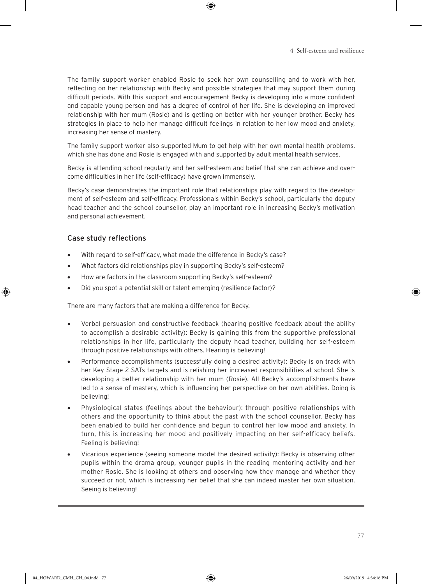The family support worker enabled Rosie to seek her own counselling and to work with her, reflecting on her relationship with Becky and possible strategies that may support them during difficult periods. With this support and encouragement Becky is developing into a more confident and capable young person and has a degree of control of her life. She is developing an improved relationship with her mum (Rosie) and is getting on better with her younger brother. Becky has strategies in place to help her manage difficult feelings in relation to her low mood and anxiety, increasing her sense of mastery.

⊕

The family support worker also supported Mum to get help with her own mental health problems, which she has done and Rosie is engaged with and supported by adult mental health services.

Becky is attending school regularly and her self-esteem and belief that she can achieve and overcome difficulties in her life (self-efficacy) have grown immensely.

Becky's case demonstrates the important role that relationships play with regard to the development of self-esteem and self-efficacy. Professionals within Becky's school, particularly the deputy head teacher and the school counsellor, play an important role in increasing Becky's motivation and personal achievement.

#### Case study reflections

⊕

- With regard to self-efficacy, what made the difference in Becky's case?
- What factors did relationships play in supporting Becky's self-esteem?
- How are factors in the classroom supporting Becky's self-esteem?
- Did you spot a potential skill or talent emerging (resilience factor)?

There are many factors that are making a difference for Becky.

- Verbal persuasion and constructive feedback (hearing positive feedback about the ability to accomplish a desirable activity): Becky is gaining this from the supportive professional relationships in her life, particularly the deputy head teacher, building her self-esteem through positive relationships with others. Hearing is believing!
- Performance accomplishments (successfully doing a desired activity): Becky is on track with her Key Stage 2 SATs targets and is relishing her increased responsibilities at school. She is developing a better relationship with her mum (Rosie). All Becky's accomplishments have led to a sense of mastery, which is influencing her perspective on her own abilities. Doing is believing!
- Physiological states (feelings about the behaviour): through positive relationships with others and the opportunity to think about the past with the school counsellor, Becky has been enabled to build her confidence and begun to control her low mood and anxiety. In turn, this is increasing her mood and positively impacting on her self-efficacy beliefs. Feeling is believing!
- Vicarious experience (seeing someone model the desired activity): Becky is observing other pupils within the drama group, younger pupils in the reading mentoring activity and her mother Rosie. She is looking at others and observing how they manage and whether they succeed or not, which is increasing her belief that she can indeed master her own situation. Seeing is believing!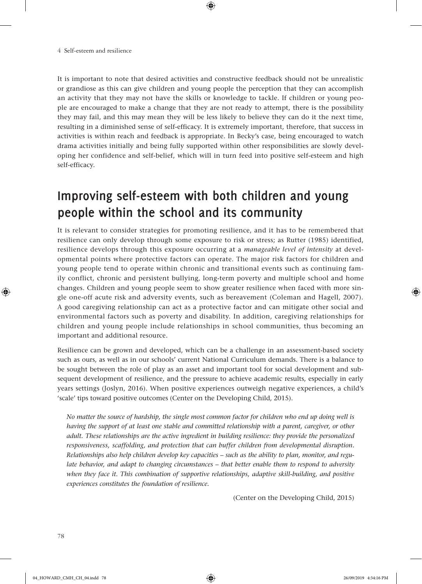It is important to note that desired activities and constructive feedback should not be unrealistic or grandiose as this can give children and young people the perception that they can accomplish an activity that they may not have the skills or knowledge to tackle. If children or young people are encouraged to make a change that they are not ready to attempt, there is the possibility they may fail, and this may mean they will be less likely to believe they can do it the next time, resulting in a diminished sense of self-efficacy. It is extremely important, therefore, that success in activities is within reach and feedback is appropriate. In Becky's case, being encouraged to watch drama activities initially and being fully supported within other responsibilities are slowly developing her confidence and self-belief, which will in turn feed into positive self-esteem and high self-efficacy.

⊕

## **Improving self-esteem with both children and young people within the school and its community**

It is relevant to consider strategies for promoting resilience, and it has to be remembered that resilience can only develop through some exposure to risk or stress; as Rutter (1985) identified, resilience develops through this exposure occurring at a *manageable level of intensity* at developmental points where protective factors can operate. The major risk factors for children and young people tend to operate within chronic and transitional events such as continuing family conflict, chronic and persistent bullying, long-term poverty and multiple school and home changes. Children and young people seem to show greater resilience when faced with more single one-off acute risk and adversity events, such as bereavement (Coleman and Hagell, 2007). A good caregiving relationship can act as a protective factor and can mitigate other social and environmental factors such as poverty and disability. In addition, caregiving relationships for children and young people include relationships in school communities, thus becoming an important and additional resource.

Resilience can be grown and developed, which can be a challenge in an assessment-based society such as ours, as well as in our schools' current National Curriculum demands. There is a balance to be sought between the role of play as an asset and important tool for social development and subsequent development of resilience, and the pressure to achieve academic results, especially in early years settings (Joslyn, 2016). When positive experiences outweigh negative experiences, a child's 'scale' tips toward positive outcomes (Center on the Developing Child, 2015).

*No matter the source of hardship, the single most common factor for children who end up doing well is having the support of at least one stable and committed relationship with a parent, caregiver, or other adult. These relationships are the active ingredient in building resilience: they provide the personalized responsiveness, scaffolding, and protection that can buffer children from developmental disruption. Relationships also help children develop key capacities – such as the ability to plan, monitor, and regulate behavior, and adapt to changing circumstances – that better enable them to respond to adversity*  when they face it. This combination of supportive relationships, adaptive skill-building, and positive *experiences constitutes the foundation of resilience.*

(Center on the Developing Child, 2015)

⊕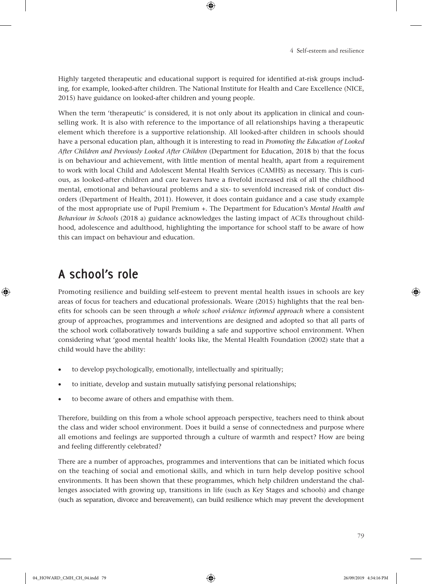Highly targeted therapeutic and educational support is required for identified at-risk groups including, for example, looked-after children. The National Institute for Health and Care Excellence (NICE, 2015) have guidance on looked-after children and young people.

 $\mathbin{\circledast}$ 

When the term 'therapeutic' is considered, it is not only about its application in clinical and counselling work. It is also with reference to the importance of all relationships having a therapeutic element which therefore is a supportive relationship. All looked-after children in schools should have a personal education plan, although it is interesting to read in *Promoting the Education of Looked After Children and Previously Looked After Children* (Department for Education, 2018 b) that the focus is on behaviour and achievement, with little mention of mental health, apart from a requirement to work with local Child and Adolescent Mental Health Services (CAMHS) as necessary. This is curious, as looked-after children and care leavers have a fivefold increased risk of all the childhood mental, emotional and behavioural problems and a six- to sevenfold increased risk of conduct disorders (Department of Health, 2011). However, it does contain guidance and a case study example of the most appropriate use of Pupil Premium +. The Department for Education's *Mental Health and Behaviour in Schools* (2018 a) guidance acknowledges the lasting impact of ACEs throughout childhood, adolescence and adulthood, highlighting the importance for school staff to be aware of how this can impact on behaviour and education.

#### **A school's role**

⊕

Promoting resilience and building self-esteem to prevent mental health issues in schools are key areas of focus for teachers and educational professionals. Weare (2015) highlights that the real benefits for schools can be seen through *a whole school evidence informed approach* where a consistent group of approaches, programmes and interventions are designed and adopted so that all parts of the school work collaboratively towards building a safe and supportive school environment. When considering what 'good mental health' looks like, the Mental Health Foundation (2002) state that a child would have the ability:

- to develop psychologically, emotionally, intellectually and spiritually;
- to initiate, develop and sustain mutually satisfying personal relationships;
- to become aware of others and empathise with them.

Therefore, building on this from a whole school approach perspective, teachers need to think about the class and wider school environment. Does it build a sense of connectedness and purpose where all emotions and feelings are supported through a culture of warmth and respect? How are being and feeling differently celebrated?

There are a number of approaches, programmes and interventions that can be initiated which focus on the teaching of social and emotional skills, and which in turn help develop positive school environments. It has been shown that these programmes, which help children understand the challenges associated with growing up, transitions in life (such as Key Stages and schools) and change (such as separation, divorce and bereavement), can build resilience which may prevent the development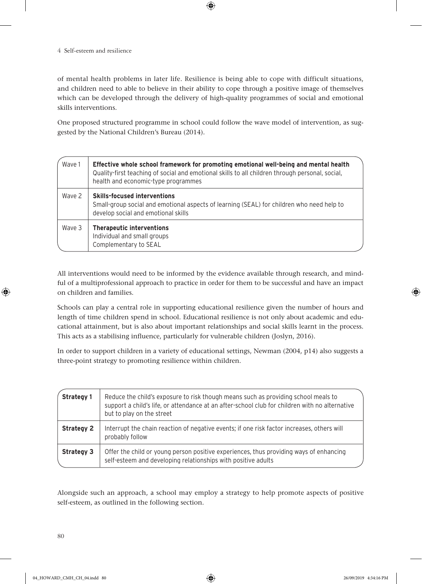of mental health problems in later life. Resilience is being able to cope with difficult situations, and children need to able to believe in their ability to cope through a positive image of themselves which can be developed through the delivery of high-quality programmes of social and emotional skills interventions.

 $\bigoplus$ 

One proposed structured programme in school could follow the wave model of intervention, as suggested by the National Children's Bureau (2014).

| Wave 1 | Effective whole school framework for promoting emotional well-being and mental health<br>Quality-first teaching of social and emotional skills to all children through personal, social,<br>health and economic-type programmes |
|--------|---------------------------------------------------------------------------------------------------------------------------------------------------------------------------------------------------------------------------------|
| Wave 2 | <b>Skills-focused interventions</b><br>Small-group social and emotional aspects of learning (SEAL) for children who need help to<br>develop social and emotional skills                                                         |
| Wave 3 | <b>Therapeutic interventions</b><br>Individual and small groups<br>Complementary to SEAL                                                                                                                                        |

All interventions would need to be informed by the evidence available through research, and mindful of a multiprofessional approach to practice in order for them to be successful and have an impact on children and families.

Schools can play a central role in supporting educational resilience given the number of hours and length of time children spend in school. Educational resilience is not only about academic and educational attainment, but is also about important relationships and social skills learnt in the process. This acts as a stabilising influence, particularly for vulnerable children (Joslyn, 2016).

In order to support children in a variety of educational settings, Newman (2004, p14) also suggests a three-point strategy to promoting resilience within children.

| <b>Strategy 1</b> | Reduce the child's exposure to risk though means such as providing school meals to<br>support a child's life, or attendance at an after-school club for children with no alternative<br>but to play on the street |
|-------------------|-------------------------------------------------------------------------------------------------------------------------------------------------------------------------------------------------------------------|
| <b>Strategy 2</b> | Interrupt the chain reaction of negative events; if one risk factor increases, others will<br>probably follow                                                                                                     |
| <b>Strategy 3</b> | Offer the child or young person positive experiences, thus providing ways of enhancing<br>self-esteem and developing relationships with positive adults                                                           |

Alongside such an approach, a school may employ a strategy to help promote aspects of positive self-esteem, as outlined in the following section.

⊕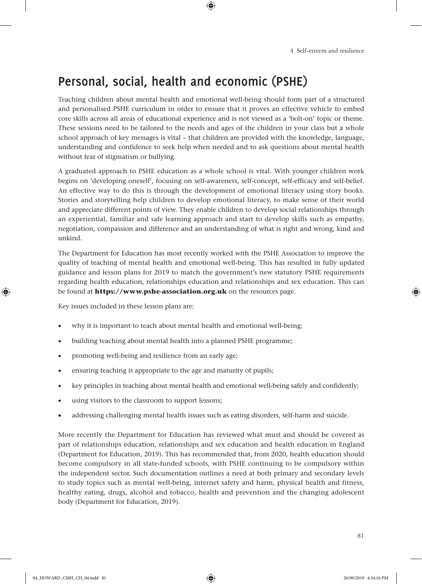## **Personal, social, health and economic (PSHE)**

Teaching children about mental health and emotional well-being should form part of a structured and personalised PSHE curriculum in order to ensure that it proves an effective vehicle to embed core skills across all areas of educational experience and is not viewed as a 'bolt-on' topic or theme. These sessions need to be tailored to the needs and ages of the children in your class but a whole school approach of key messages is vital – that children are provided with the knowledge, language, understanding and confidence to seek help when needed and to ask questions about mental health without fear of stigmatism or bullying.

 $\circledast$ 

A graduated approach to PSHE education as a whole school is vital. With younger children work begins on 'developing oneself', focusing on self-awareness, self-concept, self-efficacy and self-belief. An effective way to do this is through the development of emotional literacy using story books. Stories and storytelling help children to develop emotional literacy, to make sense of their world and appreciate different points of view. They enable children to develop social relationships through an experiential, familiar and safe learning approach and start to develop skills such as empathy, negotiation, compassion and difference and an understanding of what is right and wrong, kind and unkind.

The Department for Education has most recently worked with the PSHE Association to improve the quality of teaching of mental health and emotional well-being. This has resulted in fully updated guidance and lesson plans for 2019 to match the government's new statutory PSHE requirements regarding health education, relationships education and relationships and sex education. This can be found at **https://www.pshe-association.org.uk** on the resources page.

Key issues included in these lesson plans are:

- why it is important to teach about mental health and emotional well-being;
- building teaching about mental health into a planned PSHE programme;
- promoting well-being and resilience from an early age;
- ensuring teaching is appropriate to the age and maturity of pupils;
- key principles in teaching about mental health and emotional well-being safely and confidently;
- using visitors to the classroom to support lessons;
- addressing challenging mental health issues such as eating disorders, self-harm and suicide.

More recently the Department for Education has reviewed what must and should be covered as part of relationships education, relationships and sex education and health education in England (Department for Education, 2019). This has recommended that, from 2020, health education should become compulsory in all state-funded schools, with PSHE continuing to be compulsory within the independent sector. Such documentation outlines a need at both primary and secondary levels to study topics such as mental well-being, internet safety and harm, physical health and fitness, healthy eating, drugs, alcohol and tobacco, health and prevention and the changing adolescent body (Department for Education, 2019).

⊕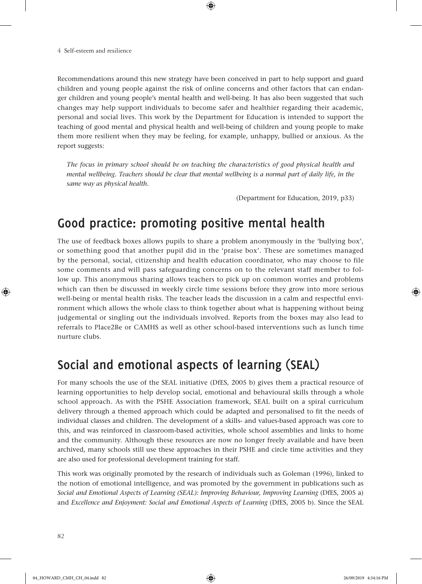Recommendations around this new strategy have been conceived in part to help support and guard children and young people against the risk of online concerns and other factors that can endanger children and young people's mental health and well-being. It has also been suggested that such changes may help support individuals to become safer and healthier regarding their academic, personal and social lives. This work by the Department for Education is intended to support the teaching of good mental and physical health and well-being of children and young people to make them more resilient when they may be feeling, for example, unhappy, bullied or anxious. As the report suggests:

⊕

*The focus in primary school should be on teaching the characteristics of good physical health and mental wellbeing. Teachers should be clear that mental wellbeing is a normal part of daily life, in the same way as physical health.*

(Department for Education, 2019, p33)

## **Good practice: promoting positive mental health**

The use of feedback boxes allows pupils to share a problem anonymously in the 'bullying box', or something good that another pupil did in the 'praise box'. These are sometimes managed by the personal, social, citizenship and health education coordinator, who may choose to file some comments and will pass safeguarding concerns on to the relevant staff member to follow up. This anonymous sharing allows teachers to pick up on common worries and problems which can then be discussed in weekly circle time sessions before they grow into more serious well-being or mental health risks. The teacher leads the discussion in a calm and respectful environment which allows the whole class to think together about what is happening without being judgemental or singling out the individuals involved. Reports from the boxes may also lead to referrals to Place2Be or CAMHS as well as other school-based interventions such as lunch time nurture clubs.

## **Social and emotional aspects of learning (SEAL)**

For many schools the use of the SEAL initiative (DfES, 2005 b) gives them a practical resource of learning opportunities to help develop social, emotional and behavioural skills through a whole school approach. As with the PSHE Association framework, SEAL built on a spiral curriculum delivery through a themed approach which could be adapted and personalised to fit the needs of individual classes and children. The development of a skills- and values-based approach was core to this, and was reinforced in classroom-based activities, whole school assemblies and links to home and the community. Although these resources are now no longer freely available and have been archived, many schools still use these approaches in their PSHE and circle time activities and they are also used for professional development training for staff.

This work was originally promoted by the research of individuals such as Goleman (1996), linked to the notion of emotional intelligence, and was promoted by the government in publications such as *Social and Emotional Aspects of Learning (SEAL): Improving Behaviour, Improving Learning* (DfES, 2005 a) and *Excellence and Enjoyment: Social and Emotional Aspects of Learning* (DfES, 2005 b). Since the SEAL

⊕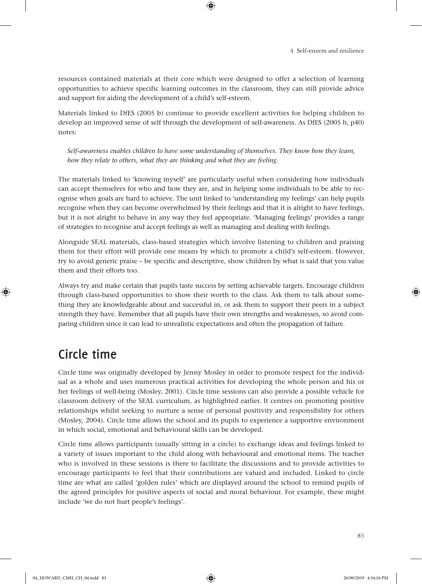resources contained materials at their core which were designed to offer a selection of learning opportunities to achieve specific learning outcomes in the classroom, they can still provide advice and support for aiding the development of a child's self-esteem.

⊕

Materials linked to DfES (2005 b) continue to provide excellent activities for helping children to develop an improved sense of self through the development of self-awareness. As DfES (2005 b, p40) notes:

*Self-awareness enables children to have some understanding of themselves. They know how they learn, how they relate to others, what they are thinking and what they are feeling.*

The materials linked to 'knowing myself' are particularly useful when considering how individuals can accept themselves for who and how they are, and in helping some individuals to be able to recognise when goals are hard to achieve. The unit linked to 'understanding my feelings' can help pupils recognise when they can become overwhelmed by their feelings and that it is alright to have feelings, but it is not alright to behave in any way they feel appropriate. 'Managing feelings' provides a range of strategies to recognise and accept feelings as well as managing and dealing with feelings.

Alongside SEAL materials, class-based strategies which involve listening to children and praising them for their effort will provide one means by which to promote a child's self-esteem. However, try to avoid generic praise – be specific and descriptive, show children by what is said that you value them and their efforts too.

Always try and make certain that pupils taste success by setting achievable targets. Encourage children through class-based opportunities to show their worth to the class. Ask them to talk about something they are knowledgeable about and successful in, or ask them to support their peers in a subject strength they have. Remember that all pupils have their own strengths and weaknesses, so avoid comparing children since it can lead to unrealistic expectations and often the propagation of failure.

## **Circle time**

⊕

Circle time was originally developed by Jenny Mosley in order to promote respect for the individual as a whole and uses numerous practical activities for developing the whole person and his or her feelings of well-being (Mosley, 2001). Circle time sessions can also provide a possible vehicle for classroom delivery of the SEAL curriculum, as highlighted earlier. It centres on promoting positive relationships whilst seeking to nurture a sense of personal positivity and responsibility for others (Mosley, 2004). Circle time allows the school and its pupils to experience a supportive environment in which social, emotional and behavioural skills can be developed.

Circle time allows participants (usually sitting in a circle) to exchange ideas and feelings linked to a variety of issues important to the child along with behavioural and emotional items. The teacher who is involved in these sessions is there to facilitate the discussions and to provide activities to encourage participants to feel that their contributions are valued and included. Linked to circle time are what are called 'golden rules' which are displayed around the school to remind pupils of the agreed principles for positive aspects of social and moral behaviour. For example, these might include 'we do not hurt people's feelings'.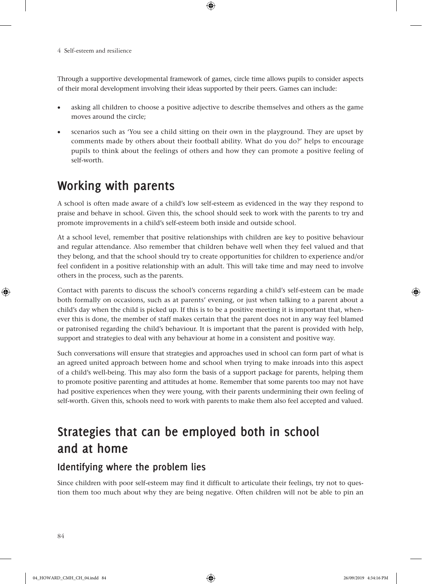Through a supportive developmental framework of games, circle time allows pupils to consider aspects of their moral development involving their ideas supported by their peers. Games can include:

 $\circledast$ 

- asking all children to choose a positive adjective to describe themselves and others as the game moves around the circle;
- scenarios such as 'You see a child sitting on their own in the playground. They are upset by comments made by others about their football ability. What do you do?' helps to encourage pupils to think about the feelings of others and how they can promote a positive feeling of self-worth.

#### **Working with parents**

A school is often made aware of a child's low self-esteem as evidenced in the way they respond to praise and behave in school. Given this, the school should seek to work with the parents to try and promote improvements in a child's self-esteem both inside and outside school.

At a school level, remember that positive relationships with children are key to positive behaviour and regular attendance. Also remember that children behave well when they feel valued and that they belong, and that the school should try to create opportunities for children to experience and/or feel confident in a positive relationship with an adult. This will take time and may need to involve others in the process, such as the parents.

Contact with parents to discuss the school's concerns regarding a child's self-esteem can be made both formally on occasions, such as at parents' evening, or just when talking to a parent about a child's day when the child is picked up. If this is to be a positive meeting it is important that, whenever this is done, the member of staff makes certain that the parent does not in any way feel blamed or patronised regarding the child's behaviour. It is important that the parent is provided with help, support and strategies to deal with any behaviour at home in a consistent and positive way.

Such conversations will ensure that strategies and approaches used in school can form part of what is an agreed united approach between home and school when trying to make inroads into this aspect of a child's well-being. This may also form the basis of a support package for parents, helping them to promote positive parenting and attitudes at home. Remember that some parents too may not have had positive experiences when they were young, with their parents undermining their own feeling of self-worth. Given this, schools need to work with parents to make them also feel accepted and valued.

## **Strategies that can be employed both in school and at home**

#### **Identifying where the problem lies**

Since children with poor self-esteem may find it difficult to articulate their feelings, try not to question them too much about why they are being negative. Often children will not be able to pin an

⊕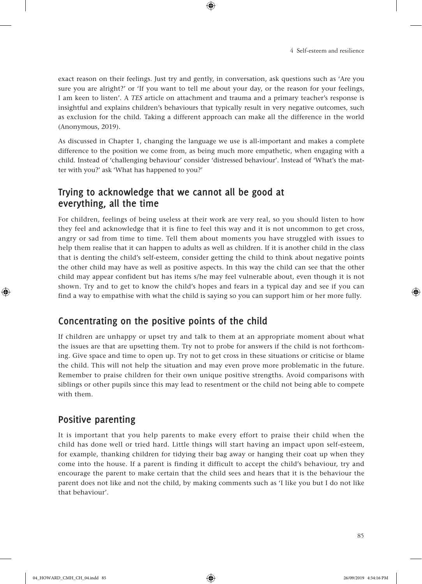exact reason on their feelings. Just try and gently, in conversation, ask questions such as 'Are you sure you are alright?' or 'If you want to tell me about your day, or the reason for your feelings, I am keen to listen'. A *TES* article on attachment and trauma and a primary teacher's response is insightful and explains children's behaviours that typically result in very negative outcomes, such as exclusion for the child. Taking a different approach can make all the difference in the world (Anonymous, 2019).

 $\circledast$ 

As discussed in Chapter 1, changing the language we use is all-important and makes a complete difference to the position we come from, as being much more empathetic, when engaging with a child. Instead of 'challenging behaviour' consider 'distressed behaviour'. Instead of 'What's the matter with you?' ask 'What has happened to you?'

#### **Trying to acknowledge that we cannot all be good at everything, all the time**

For children, feelings of being useless at their work are very real, so you should listen to how they feel and acknowledge that it is fine to feel this way and it is not uncommon to get cross, angry or sad from time to time. Tell them about moments you have struggled with issues to help them realise that it can happen to adults as well as children. If it is another child in the class that is denting the child's self-esteem, consider getting the child to think about negative points the other child may have as well as positive aspects. In this way the child can see that the other child may appear confident but has items s/he may feel vulnerable about, even though it is not shown. Try and to get to know the child's hopes and fears in a typical day and see if you can find a way to empathise with what the child is saying so you can support him or her more fully.

#### **Concentrating on the positive points of the child**

If children are unhappy or upset try and talk to them at an appropriate moment about what the issues are that are upsetting them. Try not to probe for answers if the child is not forthcoming. Give space and time to open up. Try not to get cross in these situations or criticise or blame the child. This will not help the situation and may even prove more problematic in the future. Remember to praise children for their own unique positive strengths. Avoid comparisons with siblings or other pupils since this may lead to resentment or the child not being able to compete with them.

#### **Positive parenting**

⊕

It is important that you help parents to make every effort to praise their child when the child has done well or tried hard. Little things will start having an impact upon self-esteem, for example, thanking children for tidying their bag away or hanging their coat up when they come into the house. If a parent is finding it difficult to accept the child's behaviour, try and encourage the parent to make certain that the child sees and hears that it is the behaviour the parent does not like and not the child, by making comments such as 'I like you but I do not like that behaviour'.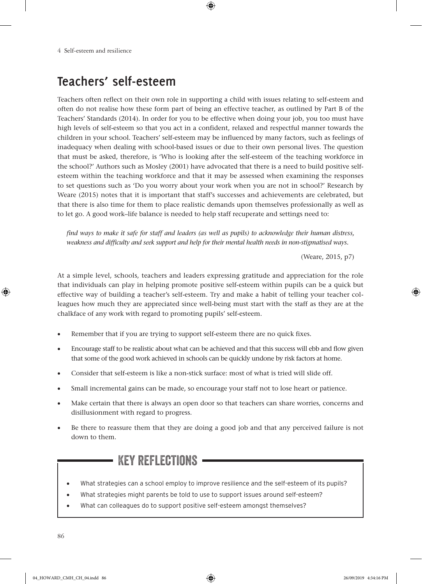## **Teachers' self-esteem**

Teachers often reflect on their own role in supporting a child with issues relating to self-esteem and often do not realise how these form part of being an effective teacher, as outlined by Part B of the Teachers' Standards (2014). In order for you to be effective when doing your job, you too must have high levels of self-esteem so that you act in a confident, relaxed and respectful manner towards the children in your school. Teachers' self-esteem may be influenced by many factors, such as feelings of inadequacy when dealing with school-based issues or due to their own personal lives. The question that must be asked, therefore, is 'Who is looking after the self-esteem of the teaching workforce in the school?' Authors such as Mosley (2001) have advocated that there is a need to build positive selfesteem within the teaching workforce and that it may be assessed when examining the responses to set questions such as 'Do you worry about your work when you are not in school?' Research by Weare (2015) notes that it is important that staff's successes and achievements are celebrated, but that there is also time for them to place realistic demands upon themselves professionally as well as to let go. A good work–life balance is needed to help staff recuperate and settings need to:

⊕

*find ways to make it safe for staff and leaders (as well as pupils) to acknowledge their human distress, weakness and difficulty and seek support and help for their mental health needs in non-stigmatised ways.*

(Weare, 2015, p7)

⊕

At a simple level, schools, teachers and leaders expressing gratitude and appreciation for the role that individuals can play in helping promote positive self-esteem within pupils can be a quick but effective way of building a teacher's self-esteem. Try and make a habit of telling your teacher colleagues how much they are appreciated since well-being must start with the staff as they are at the chalkface of any work with regard to promoting pupils' self-esteem.

- Remember that if you are trying to support self-esteem there are no quick fixes.
- Encourage staff to be realistic about what can be achieved and that this success will ebb and flow given that some of the good work achieved in schools can be quickly undone by risk factors at home.
- Consider that self-esteem is like a non-stick surface: most of what is tried will slide off.
- Small incremental gains can be made, so encourage your staff not to lose heart or patience.
- Make certain that there is always an open door so that teachers can share worries, concerns and disillusionment with regard to progress.
- Be there to reassure them that they are doing a good job and that any perceived failure is not down to them.

#### KEY REFLECTIONS .

- What strategies can a school employ to improve resilience and the self-esteem of its pupils?
- What strategies might parents be told to use to support issues around self-esteem?
- What can colleagues do to support positive self-esteem amongst themselves?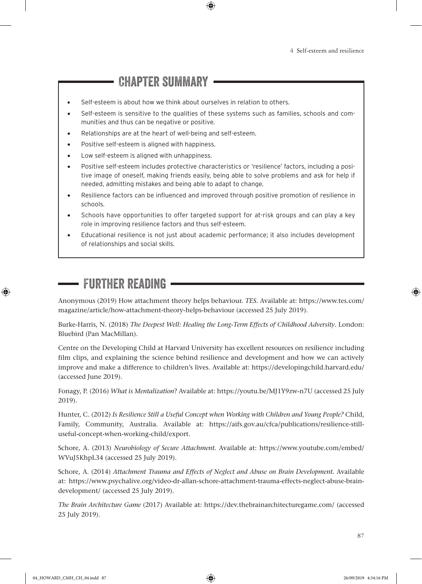#### Chapter summary

- Self-esteem is about how we think about ourselves in relation to others.
- Self-esteem is sensitive to the qualities of these systems such as families, schools and communities and thus can be negative or positive.

 $\textcolor{blue}{\bigcirc}$ 

- Relationships are at the heart of well-being and self-esteem.
- Positive self-esteem is aligned with happiness.
- Low self-esteem is aligned with unhappiness.
- Positive self-esteem includes protective characteristics or 'resilience' factors, including a positive image of oneself, making friends easily, being able to solve problems and ask for help if needed, admitting mistakes and being able to adapt to change.
- Resilience factors can be influenced and improved through positive promotion of resilience in schools.
- Schools have opportunities to offer targeted support for at-risk groups and can play a key role in improving resilience factors and thus self-esteem.
- Educational resilience is not just about academic performance; it also includes development of relationships and social skills.

## FURTHER READING -

⊕

Anonymous (2019) How attachment theory helps behaviour. *TES*. Available at: https://www.tes.com/ magazine/article/how-attachment-theory-helps-behaviour (accessed 25 July 2019).

Burke-Harris, N. (2018) *The Deepest Well: Healing the Long-Term Effects of Childhood Adversity*. London: Bluebird (Pan MacMillan).

Centre on the Developing Child at Harvard University has excellent resources on resilience including film clips, and explaining the science behind resilience and development and how we can actively improve and make a difference to children's lives. Available at: https://developingchild.harvard.edu/ (accessed June 2019).

Fonagy, P. (2016) *What is Mentalization*? Available at: https://youtu.be/MJ1Y9zw-n7U (accessed 25 July 2019).

Hunter, C. (2012) *Is Resilience Still a Useful Concept when Working with Children and Young People?* Child, Family, Community, Australia. Available at: https://aifs.gov.au/cfca/publications/resilience-stilluseful-concept-when-working-child/export.

Schore, A. (2013) *Neurobiology of Secure Attachment.* Available at: https://www.youtube.com/embed/ WVuJ5KhpL34 (accessed 25 July 2019).

Schore, A. (2014) *Attachment Trauma and Effects of Neglect and Abuse on Brain Development.* Available at: https://www.psychalive.org/video-dr-allan-schore-attachment-trauma-effects-neglect-abuse-braindevelopment/ (accessed 25 July 2019).

*The Brain Architecture Game* (2017) Available at: https://dev.thebrainarchitecturegame.com/ (accessed 25 July 2019).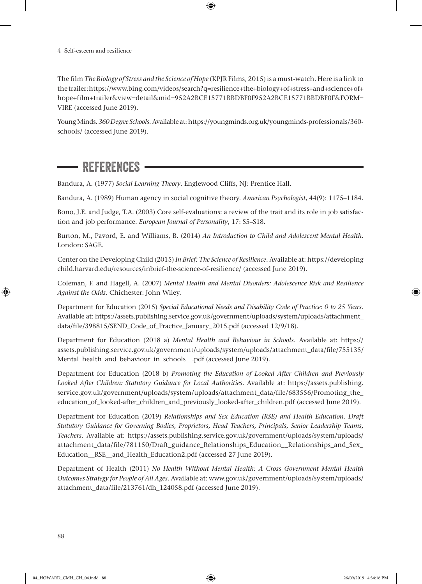The film *The Biology of Stress and the Science of Hope* (KPJR Films, 2015) is a must-watch. Here is a link to the trailer: https://www.bing.com/videos/search?q=resilience+the+biology+of+stress+and+science+of+ hope+film+trailer&view=detail&mid=952A2BCE15771BBDBF0F952A2BCE15771BBDBF0F&FORM= VIRE (accessed June 2019).

⊕

Young Minds. *360 Degree Schools.* Available at: https://youngminds.org.uk/youngminds-professionals/360 schools/ (accessed June 2019).

#### References

Bandura, A. (1977) *Social Learning Theory*. Englewood Cliffs, NJ: Prentice Hall.

Bandura, A. (1989) Human agency in social cognitive theory. *American Psychologist*, 44(9): 1175–1184.

Bono, J.E. and Judge, T.A. (2003) Core self-evaluations: a review of the trait and its role in job satisfaction and job performance. *European Journal of Personality*, 17: S5–S18.

Burton, M., Pavord, E. and Williams, B. (2014) *An Introduction to Child and Adolescent Mental Health*. London: SAGE.

Center on the Developing Child (2015) *In Brief: The Science of Resilience*. Available at: https://developing child.harvard.edu/resources/inbrief-the-science-of-resilience/ (accessed June 2019).

Coleman, F. and Hagell, A. (2007) *Mental Health and Mental Disorders: Adolescence Risk and Resilience Against the Odds*. Chichester: John Wiley.

Department for Education (2015) *Special Educational Needs and Disability Code of Practice: 0 to 25 Years*. Available at: https://assets.publishing.service.gov.uk/government/uploads/system/uploads/attachment\_ data/file/398815/SEND\_Code\_of\_Practice\_January\_2015.pdf (accessed 12/9/18).

Department for Education (2018 a) *Mental Health and Behaviour in Schools*. Available at: https:// assets.publishing.service.gov.uk/government/uploads/system/uploads/attachment\_data/file/755135/ Mental\_health\_and\_behaviour\_in\_schools\_\_.pdf (accessed June 2019).

Department for Education (2018 b) *Promoting the Education of Looked After Children and Previously Looked After Children: Statutory Guidance for Local Authorities*. Available at: https://assets.publishing. service.gov.uk/government/uploads/system/uploads/attachment\_data/file/683556/Promoting\_the\_ education\_of\_looked-after\_children\_and\_previously\_looked-after\_children.pdf (accessed June 2019).

Department for Education (2019) *Relationships and Sex Education (RSE) and Health Education. Draft Statutory Guidance for Governing Bodies, Proprietors, Head Teachers, Principals, Senior Leadership Teams, Teachers*. Available at: https://assets.publishing.service.gov.uk/government/uploads/system/uploads/ attachment\_data/file/781150/Draft\_guidance\_Relationships\_Education\_\_Relationships\_and\_Sex\_ Education\_\_RSE\_\_and\_Health\_Education2.pdf (accessed 27 June 2019).

Department of Health (2011) *No Health Without Mental Health: A Cross Government Mental Health Outcomes Strategy for People of All Ages*. Available at: www.gov.uk/government/uploads/system/uploads/ attachment\_data/file/213761/dh\_124058.pdf (accessed June 2019).

⊕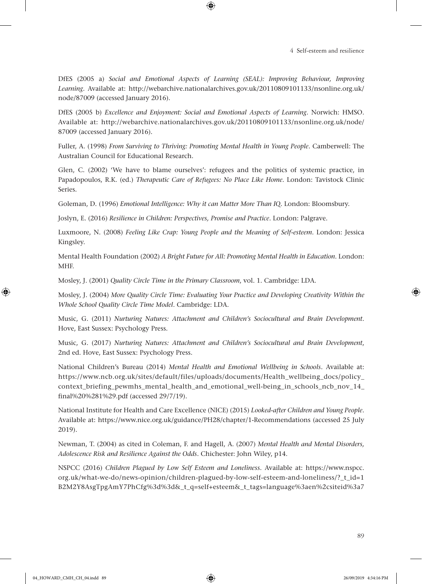DfES (2005 a) *Social and Emotional Aspects of Learning (SEAL): Improving Behaviour, Improving Learning*. Available at: http://webarchive.nationalarchives.gov.uk/20110809101133/nsonline.org.uk/ node/87009 (accessed January 2016).

 $\circledast$ 

DfES (2005 b) *Excellence and Enjoyment: Social and Emotional Aspects of Learning*. Norwich: HMSO. Available at: http://webarchive.nationalarchives.gov.uk/20110809101133/nsonline.org.uk/node/ 87009 (accessed January 2016).

Fuller, A. (1998) *From Surviving to Thriving: Promoting Mental Health in Young People*. Camberwell: The Australian Council for Educational Research.

Glen, C. (2002) 'We have to blame ourselves': refugees and the politics of systemic practice, in Papadopoulos, R.K. (ed.) *Therapeutic Care of Refugees: No Place Like Home*. London: Tavistock Clinic Series.

Goleman, D. (1996) *Emotional Intelligence: Why it can Matter More Than IQ*. London: Bloomsbury.

Joslyn, E. (2016) *Resilience in Children: Perspectives, Promise and Practice*. London: Palgrave.

Luxmoore, N. (2008) *Feeling Like Crap: Young People and the Meaning of Self-esteem*. London: Jessica Kingsley.

Mental Health Foundation (2002) *A Bright Future for All: Promoting Mental Health in Education*. London: MHF.

Mosley, J. (2001) *Quality Circle Time in the Primary Classroom*, vol. 1. Cambridge: LDA.

Mosley, J. (2004) *More Quality Circle Time: Evaluating Your Practice and Developing Creativity Within the Whole School Quality Circle Time Model*. Cambridge: LDA.

Music, G. (2011) *Nurturing Natures: Attachment and Children's Sociocultural and Brain Development*. Hove, East Sussex: Psychology Press.

Music, G. (2017) *Nurturing Natures: Attachment and Children's Sociocultural and Brain Development*, 2nd ed. Hove, East Sussex: Psychology Press.

National Children's Bureau (2014) *Mental Health and Emotional Wellbeing in Schools*. Available at: https://www.ncb.org.uk/sites/default/files/uploads/documents/Health\_wellbeing\_docs/policy\_ context\_briefing\_pewmhs\_mental\_health\_and\_emotional\_well-being\_in\_schools\_ncb\_nov\_14\_ final%20%281%29.pdf (accessed 29/7/19).

National Institute for Health and Care Excellence (NICE) (2015) *Looked-after Children and Young People*. Available at: https://www.nice.org.uk/guidance/PH28/chapter/1-Recommendations (accessed 25 July 2019).

Newman, T. (2004) as cited in Coleman, F. and Hagell, A. (2007) *Mental Health and Mental Disorders, Adolescence Risk and Resilience Against the Odds*. Chichester: John Wiley, p14.

NSPCC (2016) *Children Plagued by Low Self Esteem and Loneliness*. Available at: https://www.nspcc. org.uk/what-we-do/news-opinion/children-plagued-by-low-self-esteem-and-loneliness/?\_t\_id=1 B2M2Y8AsgTpgAmY7PhCfg%3d%3d&\_t\_q=self+esteem&\_t\_tags=language%3aen%2csiteid%3a7

⊕